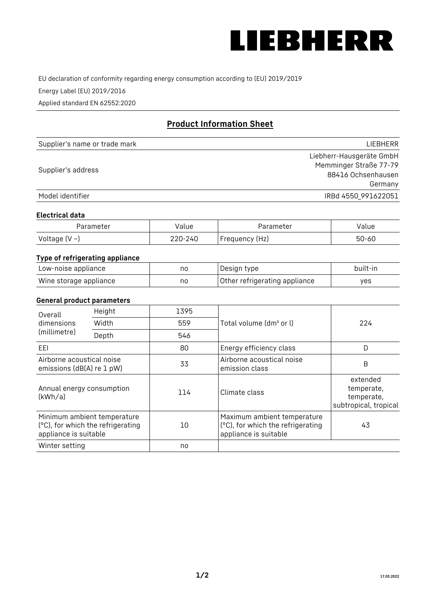

EU declaration of conformity regarding energy consumption according to (EU) 2019/2019

Energy Label (EU) 2019/2016

Applied standard EN 62552:2020

# **Product Information Sheet**

| Supplier's name or trade mark | <b>LIFBHFRR</b>          |
|-------------------------------|--------------------------|
|                               | Liebherr-Hausgeräte GmbH |
| Supplier's address            | Memminger Straße 77-79   |
|                               | 88416 Ochsenhausen       |
|                               | Germany                  |
| Model identifier              | IRBd 4550 991622051      |

#### **Electrical data**

| Parameter          | Value   | Parameter      | alue  |
|--------------------|---------|----------------|-------|
| Voltage $(V \sim)$ | 220-240 | Frequency (Hz) | 50-60 |

# **Type of refrigerating appliance**

| Low-noise appliance    | no | Design type                   | built-in |
|------------------------|----|-------------------------------|----------|
| Wine storage appliance | no | Other refrigerating appliance | yes      |

### **General product parameters**

| Height<br>Overall                                      |                                                                  | 1395 |                                                                                           |                                                               |
|--------------------------------------------------------|------------------------------------------------------------------|------|-------------------------------------------------------------------------------------------|---------------------------------------------------------------|
| dimensions<br>(millimetre)                             | Width                                                            | 559  | Total volume (dm <sup>3</sup> or l)                                                       | 224                                                           |
|                                                        | Depth                                                            | 546  |                                                                                           |                                                               |
| EEL                                                    |                                                                  | 80   | Energy efficiency class                                                                   | D                                                             |
| Airborne acoustical noise<br>emissions (dB(A) re 1 pW) |                                                                  | 33   | Airborne acoustical noise<br>emission class                                               | B                                                             |
| Annual energy consumption<br>(kWh/a)                   |                                                                  | 114  | Climate class                                                                             | extended<br>temperate,<br>temperate,<br>subtropical, tropical |
| appliance is suitable                                  | Minimum ambient temperature<br>(°C), for which the refrigerating | 10   | Maximum ambient temperature<br>(°C), for which the refrigerating<br>appliance is suitable | 43                                                            |
| Winter setting                                         |                                                                  | no   |                                                                                           |                                                               |